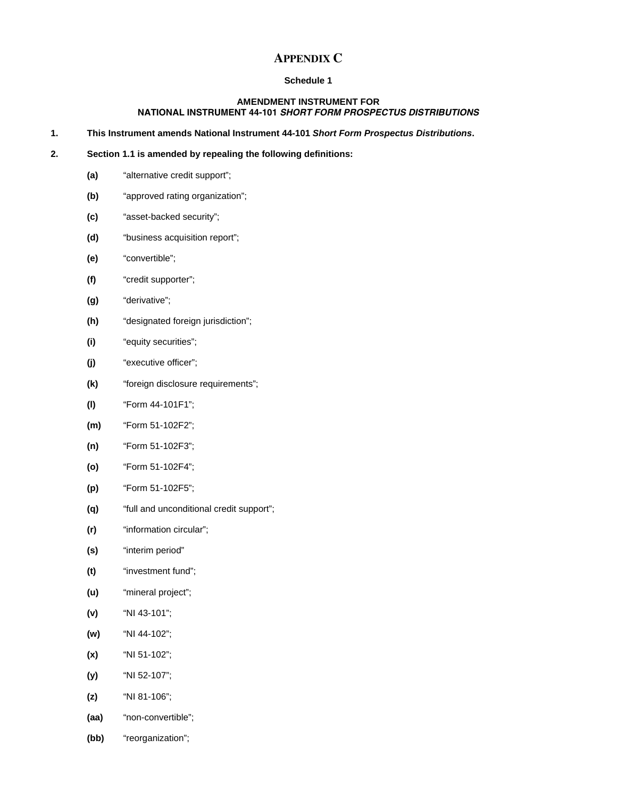# **APPENDIX C**

# **Schedule 1**

## **AMENDMENT INSTRUMENT FOR NATIONAL INSTRUMENT 44-101** *SHORT FORM PROSPECTUS DISTRIBUTIONS*

**1. This Instrument amends National Instrument 44-101** *Short Form Prospectus Distributions***.** 

#### **2. Section 1.1 is amended by repealing the following definitions:**

- **(a)** "alternative credit support";
- **(b)** "approved rating organization";
- **(c)** "asset-backed security";
- **(d)** "business acquisition report";
- **(e)** "convertible";
- **(f)** "credit supporter";
- **(g)** "derivative";
- **(h)** "designated foreign jurisdiction";
- **(i)** "equity securities";
- **(j)** "executive officer";
- **(k)** "foreign disclosure requirements";
- **(l)** "Form 44-101F1";
- **(m)** "Form 51-102F2";
- **(n)** "Form 51-102F3";
- **(o)** "Form 51-102F4";
- **(p)** "Form 51-102F5";
- **(q)** "full and unconditional credit support";
- **(r)** "information circular";
- **(s)** "interim period"
- **(t)** "investment fund";
- **(u)** "mineral project";
- **(v)** "NI 43-101";
- **(w)** "NI 44-102";
- **(x)** "NI 51-102";
- **(y)** "NI 52-107";
- **(z)** "NI 81-106";
- **(aa)** "non-convertible";
- **(bb)** "reorganization";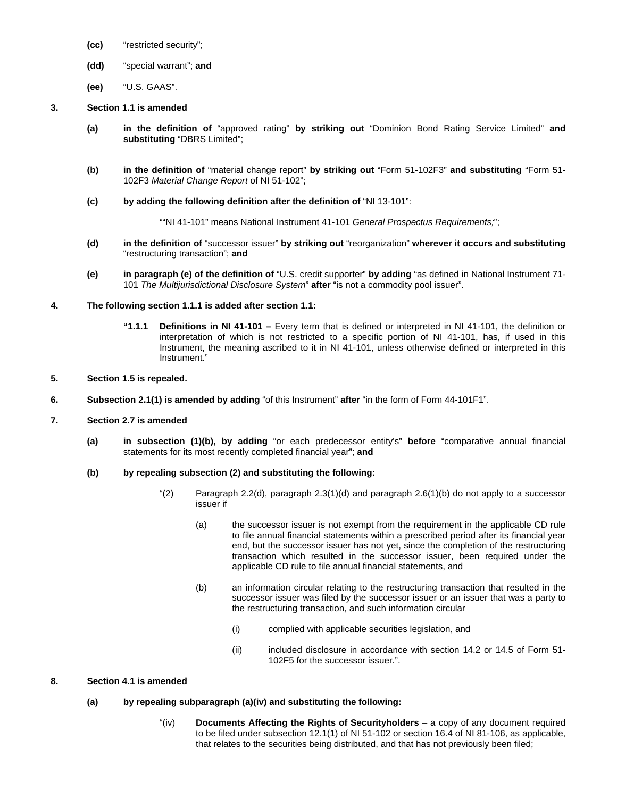- **(cc)** "restricted security";
- **(dd)** "special warrant"; **and**
- **(ee)** "U.S. GAAS".
- **3. Section 1.1 is amended** 
	- **(a) in the definition of** "approved rating" **by striking out** "Dominion Bond Rating Service Limited" **and substituting** "DBRS Limited";
	- **(b) in the definition of** "material change report" **by striking out** "Form 51-102F3" **and substituting** "Form 51- 102F3 *Material Change Report* of NI 51-102";
	- **(c) by adding the following definition after the definition of** "NI 13-101":

""NI 41-101" means National Instrument 41-101 *General Prospectus Requirements;*";

- **(d) in the definition of** "successor issuer" **by striking out** "reorganization" **wherever it occurs and substituting**  "restructuring transaction"; **and**
- **(e) in paragraph (e) of the definition of** "U.S. credit supporter" **by adding** "as defined in National Instrument 71- 101 *The Multijurisdictional Disclosure System*" **after** "is not a commodity pool issuer".

# **4. The following section 1.1.1 is added after section 1.1:**

- **"1.1.1 Definitions in NI 41-101** Every term that is defined or interpreted in NI 41-101, the definition or interpretation of which is not restricted to a specific portion of NI 41-101, has, if used in this Instrument, the meaning ascribed to it in NI 41-101, unless otherwise defined or interpreted in this Instrument."
- **5. Section 1.5 is repealed.**
- **6. Subsection 2.1(1) is amended by adding** "of this Instrument" **after** "in the form of Form 44-101F1".
- **7. Section 2.7 is amended** 
	- **(a) in subsection (1)(b), by adding** "or each predecessor entity's" **before** "comparative annual financial statements for its most recently completed financial year"; **and**
	- **(b) by repealing subsection (2) and substituting the following:** 
		- " $(2)$  Paragraph 2.2(d), paragraph 2.3(1)(d) and paragraph 2.6(1)(b) do not apply to a successor issuer if
			- (a) the successor issuer is not exempt from the requirement in the applicable CD rule to file annual financial statements within a prescribed period after its financial year end, but the successor issuer has not yet, since the completion of the restructuring transaction which resulted in the successor issuer, been required under the applicable CD rule to file annual financial statements, and
			- (b) an information circular relating to the restructuring transaction that resulted in the successor issuer was filed by the successor issuer or an issuer that was a party to the restructuring transaction, and such information circular
				- (i) complied with applicable securities legislation, and
				- (ii) included disclosure in accordance with section 14.2 or 14.5 of Form 51- 102F5 for the successor issuer.".

# **8. Section 4.1 is amended**

- **(a) by repealing subparagraph (a)(iv) and substituting the following:** 
	- "(iv) **Documents Affecting the Rights of Securityholders** a copy of any document required to be filed under subsection 12.1(1) of NI 51-102 or section 16.4 of NI 81-106, as applicable, that relates to the securities being distributed, and that has not previously been filed;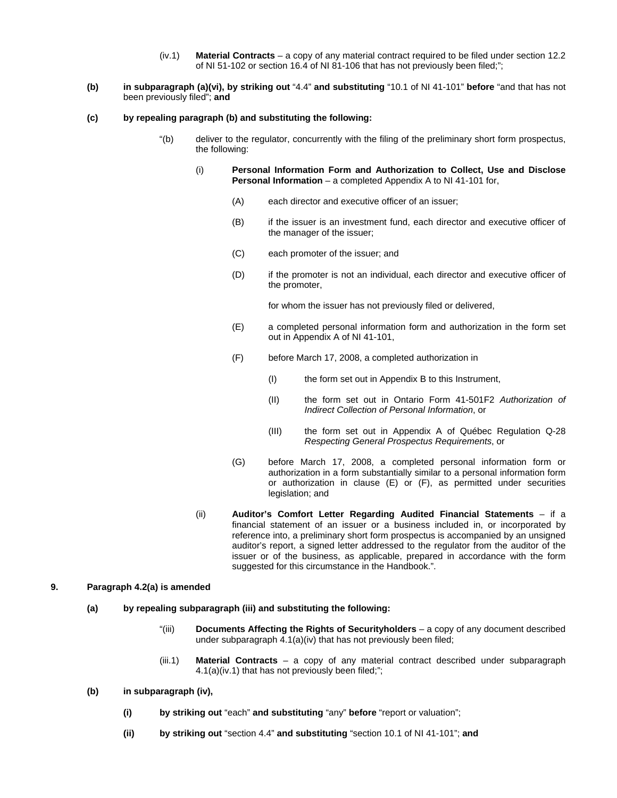- (iv.1) **Material Contracts**  a copy of any material contract required to be filed under section 12.2 of NI 51-102 or section 16.4 of NI 81-106 that has not previously been filed;";
- **(b) in subparagraph (a)(vi), by striking out** "4.4" **and substituting** "10.1 of NI 41-101" **before** "and that has not been previously filed"; **and**
- **(c) by repealing paragraph (b) and substituting the following:** 
	- "(b) deliver to the regulator, concurrently with the filing of the preliminary short form prospectus, the following:
		- (i) **Personal Information Form and Authorization to Collect, Use and Disclose Personal Information** – a completed Appendix A to NI 41-101 for,
			- (A) each director and executive officer of an issuer;
			- (B) if the issuer is an investment fund, each director and executive officer of the manager of the issuer;
			- (C) each promoter of the issuer; and
			- (D) if the promoter is not an individual, each director and executive officer of the promoter,

for whom the issuer has not previously filed or delivered,

- (E) a completed personal information form and authorization in the form set out in Appendix A of NI 41-101,
- (F) before March 17, 2008, a completed authorization in
	- (I) the form set out in Appendix B to this Instrument,
	- (II) the form set out in Ontario Form 41-501F2 *Authorization of Indirect Collection of Personal Information*, or
	- (III) the form set out in Appendix A of Québec Regulation Q-28 *Respecting General Prospectus Requirements*, or
- (G) before March 17, 2008, a completed personal information form or authorization in a form substantially similar to a personal information form or authorization in clause (E) or (F), as permitted under securities legislation; and
- (ii) **Auditor's Comfort Letter Regarding Audited Financial Statements** if a financial statement of an issuer or a business included in, or incorporated by reference into, a preliminary short form prospectus is accompanied by an unsigned auditor's report, a signed letter addressed to the regulator from the auditor of the issuer or of the business, as applicable, prepared in accordance with the form suggested for this circumstance in the Handbook.".

# **9. Paragraph 4.2(a) is amended**

- **(a) by repealing subparagraph (iii) and substituting the following:** 
	- "(iii) **Documents Affecting the Rights of Securityholders**  a copy of any document described under subparagraph 4.1(a)(iv) that has not previously been filed;
	- (iii.1) **Material Contracts** a copy of any material contract described under subparagraph 4.1(a)(iv.1) that has not previously been filed;";
- **(b) in subparagraph (iv),** 
	- **(i) by striking out** "each" **and substituting** "any" **before** "report or valuation";
	- **(ii) by striking out** "section 4.4" **and substituting** "section 10.1 of NI 41-101"; **and**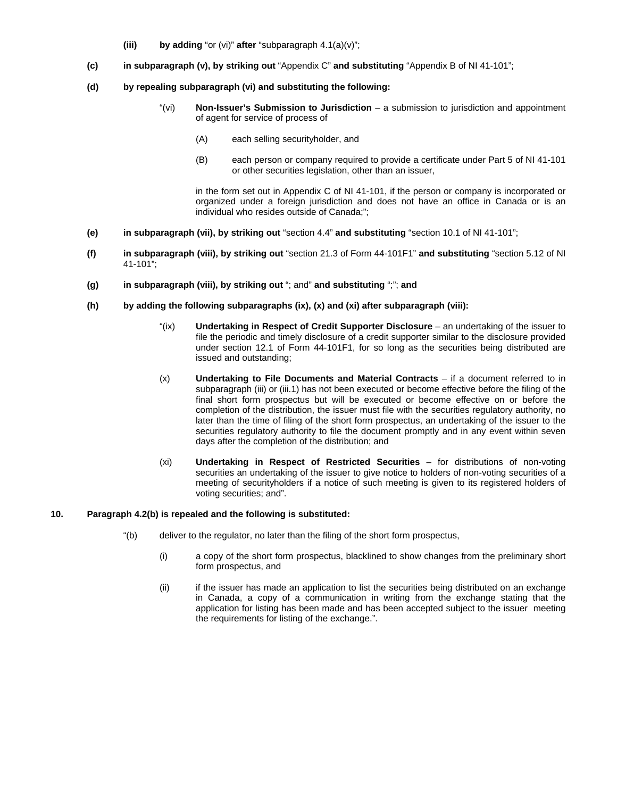- **(iii) by adding** "or (vi)" **after** "subparagraph 4.1(a)(v)";
- **(c) in subparagraph (v), by striking out** "Appendix C" **and substituting** "Appendix B of NI 41-101";
- **(d) by repealing subparagraph (vi) and substituting the following:** 
	- "(vi) **Non-Issuer's Submission to Jurisdiction** a submission to jurisdiction and appointment of agent for service of process of
		- (A) each selling securityholder, and
		- (B) each person or company required to provide a certificate under Part 5 of NI 41-101 or other securities legislation, other than an issuer,

in the form set out in Appendix C of NI 41-101, if the person or company is incorporated or organized under a foreign jurisdiction and does not have an office in Canada or is an individual who resides outside of Canada;";

- **(e) in subparagraph (vii), by striking out** "section 4.4" **and substituting** "section 10.1 of NI 41-101";
- **(f) in subparagraph (viii), by striking out** "section 21.3 of Form 44-101F1" **and substituting** "section 5.12 of NI 41-101";
- **(g) in subparagraph (viii), by striking out** "; and" **and substituting** ";"; **and**
- **(h) by adding the following subparagraphs (ix), (x) and (xi) after subparagraph (viii):** 
	- "(ix) **Undertaking in Respect of Credit Supporter Disclosure** an undertaking of the issuer to file the periodic and timely disclosure of a credit supporter similar to the disclosure provided under section 12.1 of Form 44-101F1, for so long as the securities being distributed are issued and outstanding;
	- (x) **Undertaking to File Documents and Material Contracts** if a document referred to in subparagraph (iii) or (iii.1) has not been executed or become effective before the filing of the final short form prospectus but will be executed or become effective on or before the completion of the distribution, the issuer must file with the securities regulatory authority, no later than the time of filing of the short form prospectus, an undertaking of the issuer to the securities regulatory authority to file the document promptly and in any event within seven days after the completion of the distribution; and
	- (xi) **Undertaking in Respect of Restricted Securities** for distributions of non-voting securities an undertaking of the issuer to give notice to holders of non-voting securities of a meeting of securityholders if a notice of such meeting is given to its registered holders of voting securities; and".

# **10. Paragraph 4.2(b) is repealed and the following is substituted:**

- "(b) deliver to the regulator, no later than the filing of the short form prospectus,
	- (i) a copy of the short form prospectus, blacklined to show changes from the preliminary short form prospectus, and
	- (ii) if the issuer has made an application to list the securities being distributed on an exchange in Canada, a copy of a communication in writing from the exchange stating that the application for listing has been made and has been accepted subject to the issuer meeting the requirements for listing of the exchange.".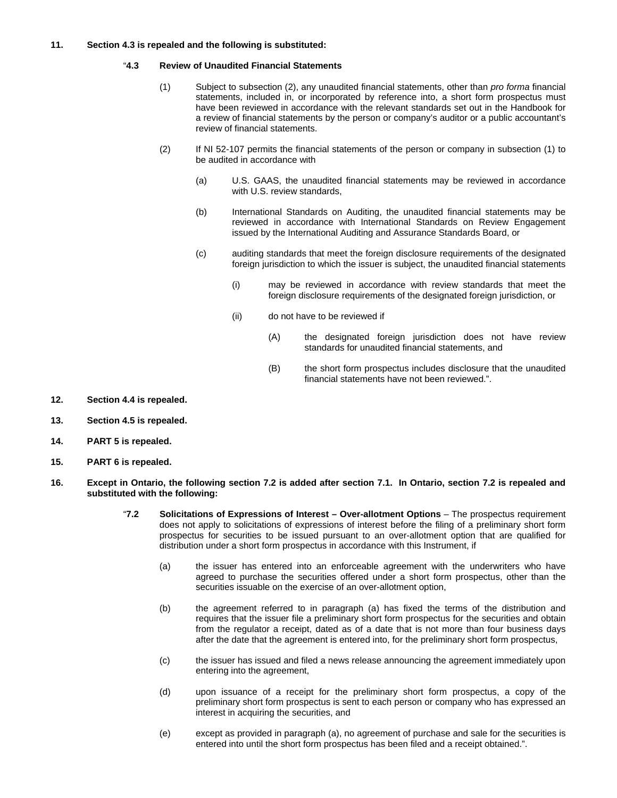### **11. Section 4.3 is repealed and the following is substituted:**

## "**4.3 Review of Unaudited Financial Statements**

- (1) Subject to subsection (2), any unaudited financial statements, other than *pro forma* financial statements, included in, or incorporated by reference into, a short form prospectus must have been reviewed in accordance with the relevant standards set out in the Handbook for a review of financial statements by the person or company's auditor or a public accountant's review of financial statements.
- (2) If NI 52-107 permits the financial statements of the person or company in subsection (1) to be audited in accordance with
	- (a) U.S. GAAS, the unaudited financial statements may be reviewed in accordance with U.S. review standards,
	- (b) International Standards on Auditing, the unaudited financial statements may be reviewed in accordance with International Standards on Review Engagement issued by the International Auditing and Assurance Standards Board, or
	- (c) auditing standards that meet the foreign disclosure requirements of the designated foreign jurisdiction to which the issuer is subject, the unaudited financial statements
		- (i) may be reviewed in accordance with review standards that meet the foreign disclosure requirements of the designated foreign jurisdiction, or
		- (ii) do not have to be reviewed if
			- (A) the designated foreign jurisdiction does not have review standards for unaudited financial statements, and
			- (B) the short form prospectus includes disclosure that the unaudited financial statements have not been reviewed.".
- **12. Section 4.4 is repealed.**
- **13. Section 4.5 is repealed.**
- **14. PART 5 is repealed.**
- **15. PART 6 is repealed.**
- **16. Except in Ontario, the following section 7.2 is added after section 7.1. In Ontario, section 7.2 is repealed and substituted with the following:** 
	- "**7.2 Solicitations of Expressions of Interest Over-allotment Options** The prospectus requirement does not apply to solicitations of expressions of interest before the filing of a preliminary short form prospectus for securities to be issued pursuant to an over-allotment option that are qualified for distribution under a short form prospectus in accordance with this Instrument, if
		- (a) the issuer has entered into an enforceable agreement with the underwriters who have agreed to purchase the securities offered under a short form prospectus, other than the securities issuable on the exercise of an over-allotment option,
		- (b) the agreement referred to in paragraph (a) has fixed the terms of the distribution and requires that the issuer file a preliminary short form prospectus for the securities and obtain from the regulator a receipt, dated as of a date that is not more than four business days after the date that the agreement is entered into, for the preliminary short form prospectus,
		- (c) the issuer has issued and filed a news release announcing the agreement immediately upon entering into the agreement,
		- (d) upon issuance of a receipt for the preliminary short form prospectus, a copy of the preliminary short form prospectus is sent to each person or company who has expressed an interest in acquiring the securities, and
		- (e) except as provided in paragraph (a), no agreement of purchase and sale for the securities is entered into until the short form prospectus has been filed and a receipt obtained.".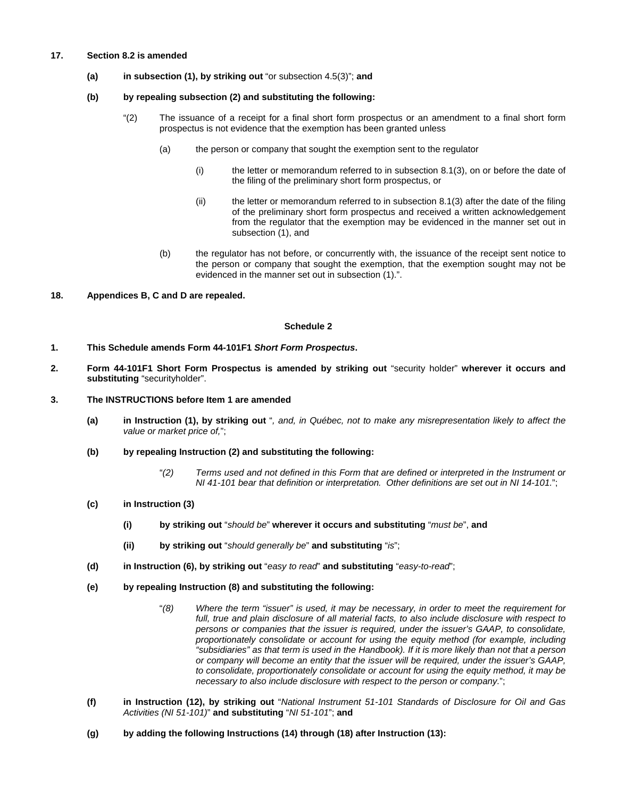### **17. Section 8.2 is amended**

**(a) in subsection (1), by striking out** "or subsection 4.5(3)"; **and** 

#### **(b) by repealing subsection (2) and substituting the following:**

- "(2) The issuance of a receipt for a final short form prospectus or an amendment to a final short form prospectus is not evidence that the exemption has been granted unless
	- (a) the person or company that sought the exemption sent to the regulator
		- (i) the letter or memorandum referred to in subsection 8.1(3), on or before the date of the filing of the preliminary short form prospectus, or
		- (ii) the letter or memorandum referred to in subsection 8.1(3) after the date of the filing of the preliminary short form prospectus and received a written acknowledgement from the regulator that the exemption may be evidenced in the manner set out in subsection (1), and
	- (b) the regulator has not before, or concurrently with, the issuance of the receipt sent notice to the person or company that sought the exemption, that the exemption sought may not be evidenced in the manner set out in subsection (1).".
- **18. Appendices B, C and D are repealed.**

### **Schedule 2**

- **1. This Schedule amends Form 44-101F1** *Short Form Prospectus***.**
- **2. Form 44-101F1 Short Form Prospectus is amended by striking out** "security holder" **wherever it occurs and substituting** "securityholder".

# **3. The INSTRUCTIONS before Item 1 are amended**

- **(a) in Instruction (1), by striking out** "*, and, in Québec, not to make any misrepresentation likely to affect the value or market price of,*";
- **(b) by repealing Instruction (2) and substituting the following:** 
	- "*(2) Terms used and not defined in this Form that are defined or interpreted in the Instrument or NI 41-101 bear that definition or interpretation. Other definitions are set out in NI 14-101.*";
- **(c) in Instruction (3)** 
	- **(i) by striking out** "*should be*" **wherever it occurs and substituting** "*must be*", **and**
	- **(ii) by striking out** "*should generally be*" **and substituting** "*is*";
- **(d) in Instruction (6), by striking out** "*easy to read*" **and substituting** "*easy-to-read*";
- **(e) by repealing Instruction (8) and substituting the following:** 
	- "*(8) Where the term "issuer" is used, it may be necessary, in order to meet the requirement for full, true and plain disclosure of all material facts, to also include disclosure with respect to persons or companies that the issuer is required, under the issuer's GAAP, to consolidate, proportionately consolidate or account for using the equity method (for example, including "subsidiaries" as that term is used in the Handbook). If it is more likely than not that a person or company will become an entity that the issuer will be required, under the issuer's GAAP, to consolidate, proportionately consolidate or account for using the equity method, it may be necessary to also include disclosure with respect to the person or company.*";
- **(f) in Instruction (12), by striking out** "*National Instrument 51-101 Standards of Disclosure for Oil and Gas Activities (NI 51-101)*" **and substituting** "*NI 51-101*"; **and**
- **(g) by adding the following Instructions (14) through (18) after Instruction (13):**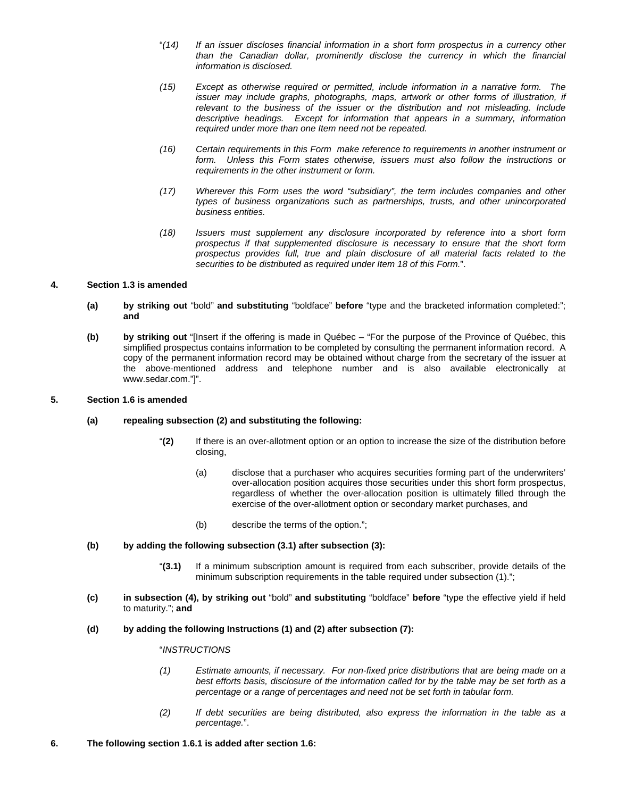- "*(14) If an issuer discloses financial information in a short form prospectus in a currency other than the Canadian dollar, prominently disclose the currency in which the financial information is disclosed.*
- *(15) Except as otherwise required or permitted, include information in a narrative form. The issuer may include graphs, photographs, maps, artwork or other forms of illustration, if relevant to the business of the issuer or the distribution and not misleading. Include descriptive headings. Except for information that appears in a summary, information required under more than one Item need not be repeated.*
- *(16) Certain requirements in this Form make reference to requirements in another instrument or form. Unless this Form states otherwise, issuers must also follow the instructions or requirements in the other instrument or form.*
- *(17) Wherever this Form uses the word "subsidiary", the term includes companies and other types of business organizations such as partnerships, trusts, and other unincorporated business entities.*
- *(18) Issuers must supplement any disclosure incorporated by reference into a short form prospectus if that supplemented disclosure is necessary to ensure that the short form prospectus provides full, true and plain disclosure of all material facts related to the securities to be distributed as required under Item 18 of this Form.*".

## **4. Section 1.3 is amended**

- **(a) by striking out** "bold" **and substituting** "boldface" **before** "type and the bracketed information completed:"; **and**
- **(b) by striking out** "[Insert if the offering is made in Québec "For the purpose of the Province of Québec, this simplified prospectus contains information to be completed by consulting the permanent information record. A copy of the permanent information record may be obtained without charge from the secretary of the issuer at the above-mentioned address and telephone number and is also available electronically at www.sedar.com."]".

### **5. Section 1.6 is amended**

## **(a) repealing subsection (2) and substituting the following:**

- "**(2)** If there is an over-allotment option or an option to increase the size of the distribution before closing,
	- (a) disclose that a purchaser who acquires securities forming part of the underwriters' over-allocation position acquires those securities under this short form prospectus, regardless of whether the over-allocation position is ultimately filled through the exercise of the over-allotment option or secondary market purchases, and
	- (b) describe the terms of the option.";

## **(b) by adding the following subsection (3.1) after subsection (3):**

- "**(3.1)** If a minimum subscription amount is required from each subscriber, provide details of the minimum subscription requirements in the table required under subsection (1).";
- **(c) in subsection (4), by striking out** "bold" **and substituting** "boldface" **before** "type the effective yield if held to maturity."; **and**
- **(d) by adding the following Instructions (1) and (2) after subsection (7):**

# "*INSTRUCTIONS*

- *(1) Estimate amounts, if necessary. For non-fixed price distributions that are being made on a best efforts basis, disclosure of the information called for by the table may be set forth as a percentage or a range of percentages and need not be set forth in tabular form.*
- *(2) If debt securities are being distributed, also express the information in the table as a percentage.*".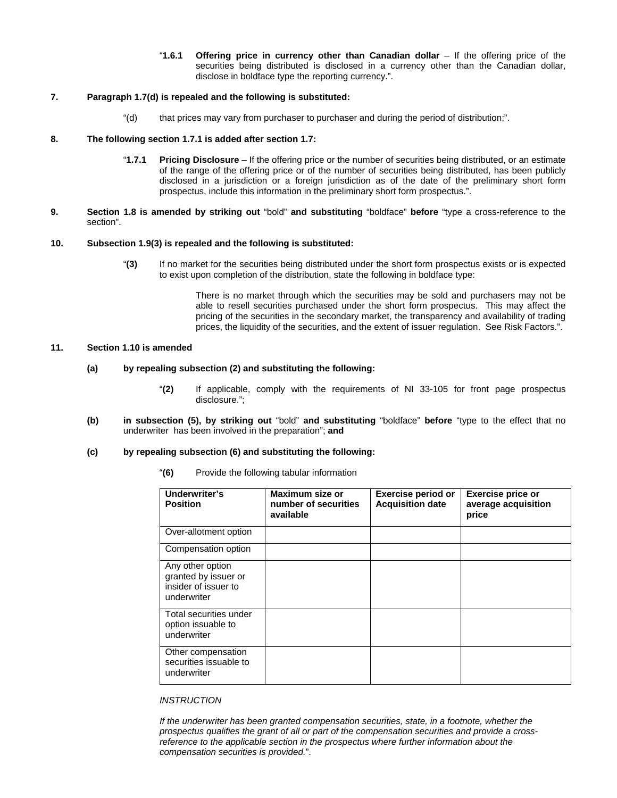"**1.6.1 Offering price in currency other than Canadian dollar** – If the offering price of the securities being distributed is disclosed in a currency other than the Canadian dollar, disclose in boldface type the reporting currency.".

# **7. Paragraph 1.7(d) is repealed and the following is substituted:**

"(d) that prices may vary from purchaser to purchaser and during the period of distribution;".

### **8. The following section 1.7.1 is added after section 1.7:**

- "**1.7.1 Pricing Disclosure** If the offering price or the number of securities being distributed, or an estimate of the range of the offering price or of the number of securities being distributed, has been publicly disclosed in a jurisdiction or a foreign jurisdiction as of the date of the preliminary short form prospectus, include this information in the preliminary short form prospectus.".
- **9. Section 1.8 is amended by striking out** "bold" **and substituting** "boldface" **before** "type a cross-reference to the section".

### **10. Subsection 1.9(3) is repealed and the following is substituted:**

"**(3)** If no market for the securities being distributed under the short form prospectus exists or is expected to exist upon completion of the distribution, state the following in boldface type:

> There is no market through which the securities may be sold and purchasers may not be able to resell securities purchased under the short form prospectus. This may affect the pricing of the securities in the secondary market, the transparency and availability of trading prices, the liquidity of the securities, and the extent of issuer regulation. See Risk Factors.".

#### **11. Section 1.10 is amended**

### **(a) by repealing subsection (2) and substituting the following:**

- "**(2)** If applicable, comply with the requirements of NI 33-105 for front page prospectus disclosure.";
- **(b) in subsection (5), by striking out** "bold" **and substituting** "boldface" **before** "type to the effect that no underwriter has been involved in the preparation"; **and**

#### **(c) by repealing subsection (6) and substituting the following:**

| "(6) | Provide the following tabular information |
|------|-------------------------------------------|
|      |                                           |

| Underwriter's<br><b>Position</b>                                                | <b>Maximum size or</b><br>number of securities<br>available | <b>Exercise period or</b><br><b>Acquisition date</b> | <b>Exercise price or</b><br>average acquisition<br>price |
|---------------------------------------------------------------------------------|-------------------------------------------------------------|------------------------------------------------------|----------------------------------------------------------|
| Over-allotment option                                                           |                                                             |                                                      |                                                          |
| Compensation option                                                             |                                                             |                                                      |                                                          |
| Any other option<br>granted by issuer or<br>insider of issuer to<br>underwriter |                                                             |                                                      |                                                          |
| Total securities under<br>option issuable to<br>underwriter                     |                                                             |                                                      |                                                          |
| Other compensation<br>securities issuable to<br>underwriter                     |                                                             |                                                      |                                                          |

### *INSTRUCTION*

*If the underwriter has been granted compensation securities, state, in a footnote, whether the prospectus qualifies the grant of all or part of the compensation securities and provide a crossreference to the applicable section in the prospectus where further information about the compensation securities is provided.*".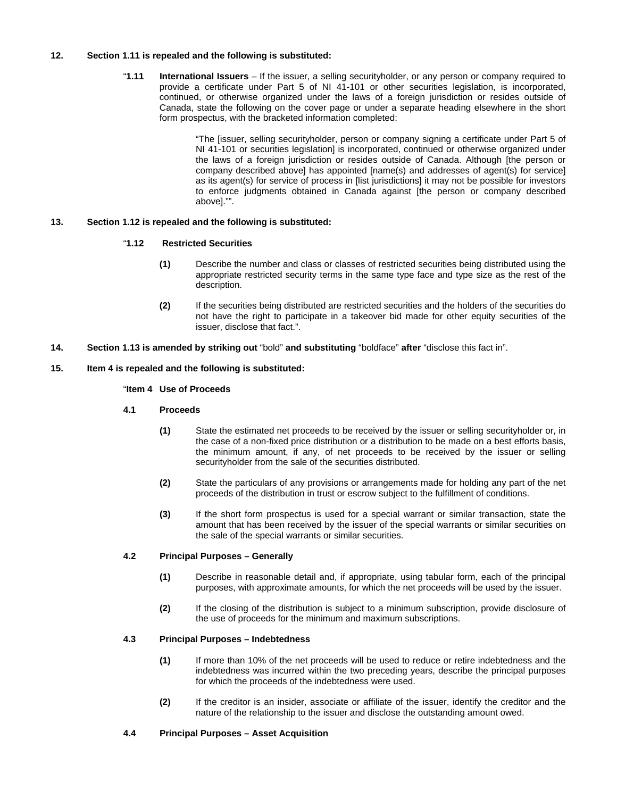# **12. Section 1.11 is repealed and the following is substituted:**

"**1.11 International Issuers** – If the issuer, a selling securityholder, or any person or company required to provide a certificate under Part 5 of NI 41-101 or other securities legislation, is incorporated, continued, or otherwise organized under the laws of a foreign jurisdiction or resides outside of Canada, state the following on the cover page or under a separate heading elsewhere in the short form prospectus, with the bracketed information completed:

> "The [issuer, selling securityholder, person or company signing a certificate under Part 5 of NI 41-101 or securities legislation] is incorporated, continued or otherwise organized under the laws of a foreign jurisdiction or resides outside of Canada. Although [the person or company described above] has appointed [name(s) and addresses of agent(s) for service] as its agent(s) for service of process in [list jurisdictions] it may not be possible for investors to enforce judgments obtained in Canada against [the person or company described above]."".

# **13. Section 1.12 is repealed and the following is substituted:**

# "**1.12 Restricted Securities**

- **(1)** Describe the number and class or classes of restricted securities being distributed using the appropriate restricted security terms in the same type face and type size as the rest of the description.
- **(2)** If the securities being distributed are restricted securities and the holders of the securities do not have the right to participate in a takeover bid made for other equity securities of the issuer, disclose that fact.".
- **14. Section 1.13 is amended by striking out** "bold" **and substituting** "boldface" **after** "disclose this fact in".

## **15. Item 4 is repealed and the following is substituted:**

## "**Item 4 Use of Proceeds**

# **4.1 Proceeds**

- **(1)** State the estimated net proceeds to be received by the issuer or selling securityholder or, in the case of a non-fixed price distribution or a distribution to be made on a best efforts basis, the minimum amount, if any, of net proceeds to be received by the issuer or selling securityholder from the sale of the securities distributed.
- **(2)** State the particulars of any provisions or arrangements made for holding any part of the net proceeds of the distribution in trust or escrow subject to the fulfillment of conditions.
- **(3)** If the short form prospectus is used for a special warrant or similar transaction, state the amount that has been received by the issuer of the special warrants or similar securities on the sale of the special warrants or similar securities.

## **4.2 Principal Purposes – Generally**

- **(1)** Describe in reasonable detail and, if appropriate, using tabular form, each of the principal purposes, with approximate amounts, for which the net proceeds will be used by the issuer.
- **(2)** If the closing of the distribution is subject to a minimum subscription, provide disclosure of the use of proceeds for the minimum and maximum subscriptions.

# **4.3 Principal Purposes – Indebtedness**

- **(1)** If more than 10% of the net proceeds will be used to reduce or retire indebtedness and the indebtedness was incurred within the two preceding years, describe the principal purposes for which the proceeds of the indebtedness were used.
- **(2)** If the creditor is an insider, associate or affiliate of the issuer, identify the creditor and the nature of the relationship to the issuer and disclose the outstanding amount owed.

#### **4.4 Principal Purposes – Asset Acquisition**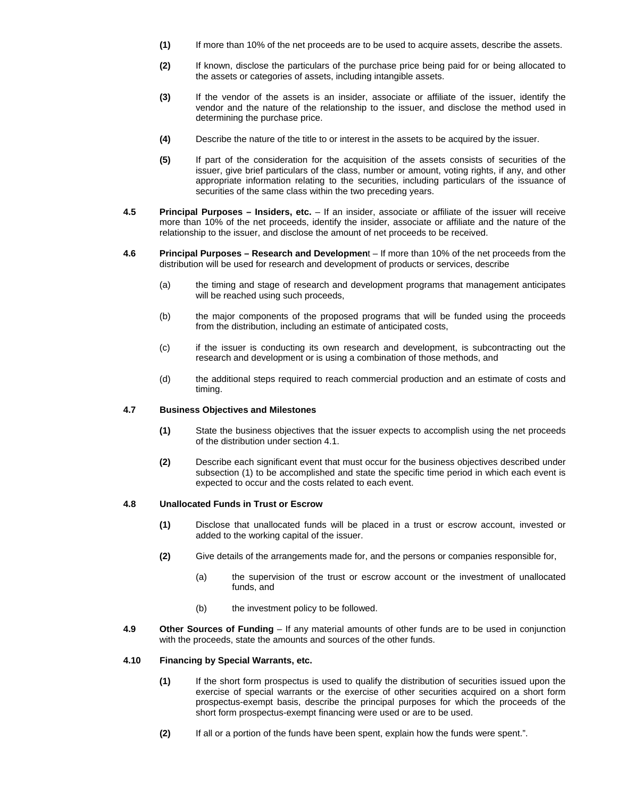- **(1)** If more than 10% of the net proceeds are to be used to acquire assets, describe the assets.
- **(2)** If known, disclose the particulars of the purchase price being paid for or being allocated to the assets or categories of assets, including intangible assets.
- **(3)** If the vendor of the assets is an insider, associate or affiliate of the issuer, identify the vendor and the nature of the relationship to the issuer, and disclose the method used in determining the purchase price.
- **(4)** Describe the nature of the title to or interest in the assets to be acquired by the issuer.
- **(5)** If part of the consideration for the acquisition of the assets consists of securities of the issuer, give brief particulars of the class, number or amount, voting rights, if any, and other appropriate information relating to the securities, including particulars of the issuance of securities of the same class within the two preceding years.
- **4.5 Principal Purposes Insiders, etc.** If an insider, associate or affiliate of the issuer will receive more than 10% of the net proceeds, identify the insider, associate or affiliate and the nature of the relationship to the issuer, and disclose the amount of net proceeds to be received.
- **4.6 Principal Purposes Research and Developmen**t If more than 10% of the net proceeds from the distribution will be used for research and development of products or services, describe
	- (a) the timing and stage of research and development programs that management anticipates will be reached using such proceeds,
	- (b) the major components of the proposed programs that will be funded using the proceeds from the distribution, including an estimate of anticipated costs,
	- (c) if the issuer is conducting its own research and development, is subcontracting out the research and development or is using a combination of those methods, and
	- (d) the additional steps required to reach commercial production and an estimate of costs and timing.

### **4.7 Business Objectives and Milestones**

- **(1)** State the business objectives that the issuer expects to accomplish using the net proceeds of the distribution under section 4.1.
- **(2)** Describe each significant event that must occur for the business objectives described under subsection (1) to be accomplished and state the specific time period in which each event is expected to occur and the costs related to each event.

## **4.8 Unallocated Funds in Trust or Escrow**

- **(1)** Disclose that unallocated funds will be placed in a trust or escrow account, invested or added to the working capital of the issuer.
- **(2)** Give details of the arrangements made for, and the persons or companies responsible for,
	- (a) the supervision of the trust or escrow account or the investment of unallocated funds, and
	- (b) the investment policy to be followed.
- **4.9 Other Sources of Funding** If any material amounts of other funds are to be used in conjunction with the proceeds, state the amounts and sources of the other funds.

#### **4.10 Financing by Special Warrants, etc.**

- **(1)** If the short form prospectus is used to qualify the distribution of securities issued upon the exercise of special warrants or the exercise of other securities acquired on a short form prospectus-exempt basis, describe the principal purposes for which the proceeds of the short form prospectus-exempt financing were used or are to be used.
- **(2)** If all or a portion of the funds have been spent, explain how the funds were spent.".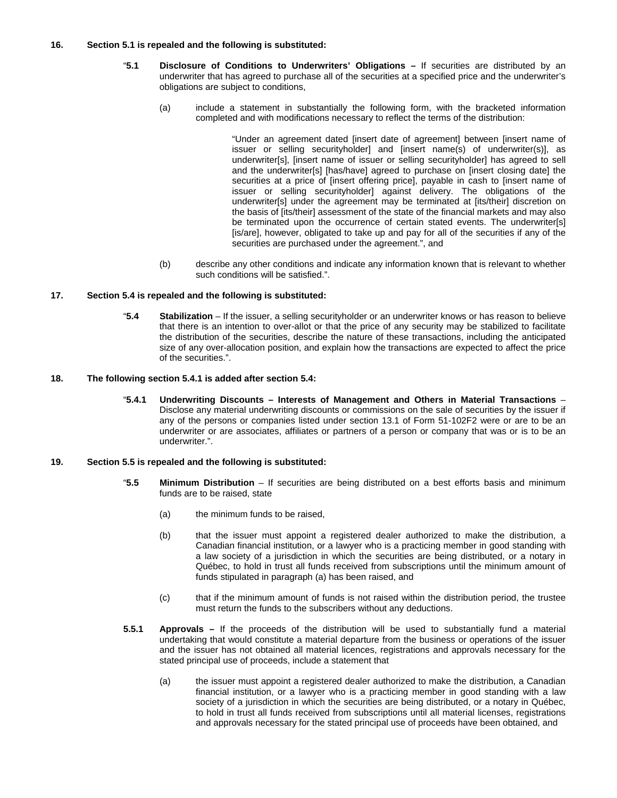## **16. Section 5.1 is repealed and the following is substituted:**

- "**5.1 Disclosure of Conditions to Underwriters' Obligations** If securities are distributed by an underwriter that has agreed to purchase all of the securities at a specified price and the underwriter's obligations are subject to conditions,
	- (a) include a statement in substantially the following form, with the bracketed information completed and with modifications necessary to reflect the terms of the distribution:

"Under an agreement dated [insert date of agreement] between [insert name of issuer or selling securityholder] and [insert name(s) of underwriter(s)], as underwriter[s], [insert name of issuer or selling securityholder] has agreed to sell and the underwriter[s] [has/have] agreed to purchase on [insert closing date] the securities at a price of [insert offering price], payable in cash to [insert name of issuer or selling securityholder] against delivery. The obligations of the underwriter[s] under the agreement may be terminated at [its/their] discretion on the basis of [its/their] assessment of the state of the financial markets and may also be terminated upon the occurrence of certain stated events. The underwriter[s] [is/are], however, obligated to take up and pay for all of the securities if any of the securities are purchased under the agreement.", and

(b) describe any other conditions and indicate any information known that is relevant to whether such conditions will be satisfied.".

#### **17. Section 5.4 is repealed and the following is substituted:**

"**5.4 Stabilization** – If the issuer, a selling securityholder or an underwriter knows or has reason to believe that there is an intention to over-allot or that the price of any security may be stabilized to facilitate the distribution of the securities, describe the nature of these transactions, including the anticipated size of any over-allocation position, and explain how the transactions are expected to affect the price of the securities.".

#### **18. The following section 5.4.1 is added after section 5.4:**

"**5.4.1 Underwriting Discounts – Interests of Management and Others in Material Transactions** – Disclose any material underwriting discounts or commissions on the sale of securities by the issuer if any of the persons or companies listed under section 13.1 of Form 51-102F2 were or are to be an underwriter or are associates, affiliates or partners of a person or company that was or is to be an underwriter.".

#### **19. Section 5.5 is repealed and the following is substituted:**

- "**5.5 Minimum Distribution** If securities are being distributed on a best efforts basis and minimum funds are to be raised, state
	- (a) the minimum funds to be raised,
	- (b) that the issuer must appoint a registered dealer authorized to make the distribution, a Canadian financial institution, or a lawyer who is a practicing member in good standing with a law society of a jurisdiction in which the securities are being distributed, or a notary in Québec, to hold in trust all funds received from subscriptions until the minimum amount of funds stipulated in paragraph (a) has been raised, and
	- (c) that if the minimum amount of funds is not raised within the distribution period, the trustee must return the funds to the subscribers without any deductions.
- **5.5.1 Approvals** If the proceeds of the distribution will be used to substantially fund a material undertaking that would constitute a material departure from the business or operations of the issuer and the issuer has not obtained all material licences, registrations and approvals necessary for the stated principal use of proceeds, include a statement that
	- (a) the issuer must appoint a registered dealer authorized to make the distribution, a Canadian financial institution, or a lawyer who is a practicing member in good standing with a law society of a jurisdiction in which the securities are being distributed, or a notary in Québec, to hold in trust all funds received from subscriptions until all material licenses, registrations and approvals necessary for the stated principal use of proceeds have been obtained, and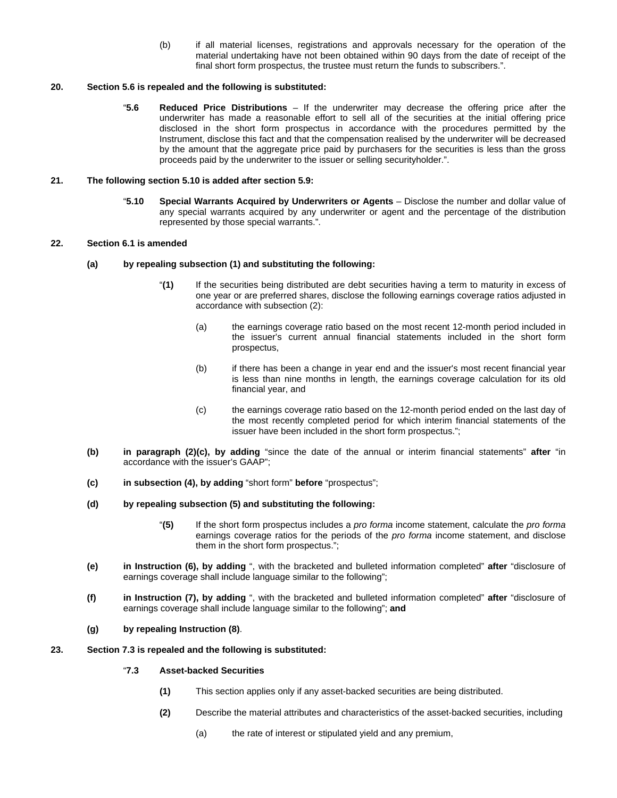(b) if all material licenses, registrations and approvals necessary for the operation of the material undertaking have not been obtained within 90 days from the date of receipt of the final short form prospectus, the trustee must return the funds to subscribers.".

## **20. Section 5.6 is repealed and the following is substituted:**

"**5.6 Reduced Price Distributions** – If the underwriter may decrease the offering price after the underwriter has made a reasonable effort to sell all of the securities at the initial offering price disclosed in the short form prospectus in accordance with the procedures permitted by the Instrument, disclose this fact and that the compensation realised by the underwriter will be decreased by the amount that the aggregate price paid by purchasers for the securities is less than the gross proceeds paid by the underwriter to the issuer or selling securityholder.".

#### **21. The following section 5.10 is added after section 5.9:**

"**5.10 Special Warrants Acquired by Underwriters or Agents** – Disclose the number and dollar value of any special warrants acquired by any underwriter or agent and the percentage of the distribution represented by those special warrants.".

# **22. Section 6.1 is amended**

- **(a) by repealing subsection (1) and substituting the following:** 
	- "**(1)** If the securities being distributed are debt securities having a term to maturity in excess of one year or are preferred shares, disclose the following earnings coverage ratios adjusted in accordance with subsection (2):
		- (a) the earnings coverage ratio based on the most recent 12-month period included in the issuer's current annual financial statements included in the short form prospectus,
		- (b) if there has been a change in year end and the issuer's most recent financial year is less than nine months in length, the earnings coverage calculation for its old financial year, and
		- (c) the earnings coverage ratio based on the 12-month period ended on the last day of the most recently completed period for which interim financial statements of the issuer have been included in the short form prospectus.";
- **(b) in paragraph (2)(c), by adding** "since the date of the annual or interim financial statements" **after** "in accordance with the issuer's GAAP";
- **(c) in subsection (4), by adding** "short form" **before** "prospectus";
- **(d) by repealing subsection (5) and substituting the following:** 
	- "**(5)** If the short form prospectus includes a *pro forma* income statement, calculate the *pro forma*  earnings coverage ratios for the periods of the *pro forma* income statement, and disclose them in the short form prospectus.";
- **(e) in Instruction (6), by adding** ", with the bracketed and bulleted information completed" **after** "disclosure of earnings coverage shall include language similar to the following";
- **(f) in Instruction (7), by adding** ", with the bracketed and bulleted information completed" **after** "disclosure of earnings coverage shall include language similar to the following"; **and**

#### **(g) by repealing Instruction (8)**.

#### **23. Section 7.3 is repealed and the following is substituted:**

## "**7.3 Asset-backed Securities**

- **(1)** This section applies only if any asset-backed securities are being distributed.
- **(2)** Describe the material attributes and characteristics of the asset-backed securities, including
	- (a) the rate of interest or stipulated yield and any premium,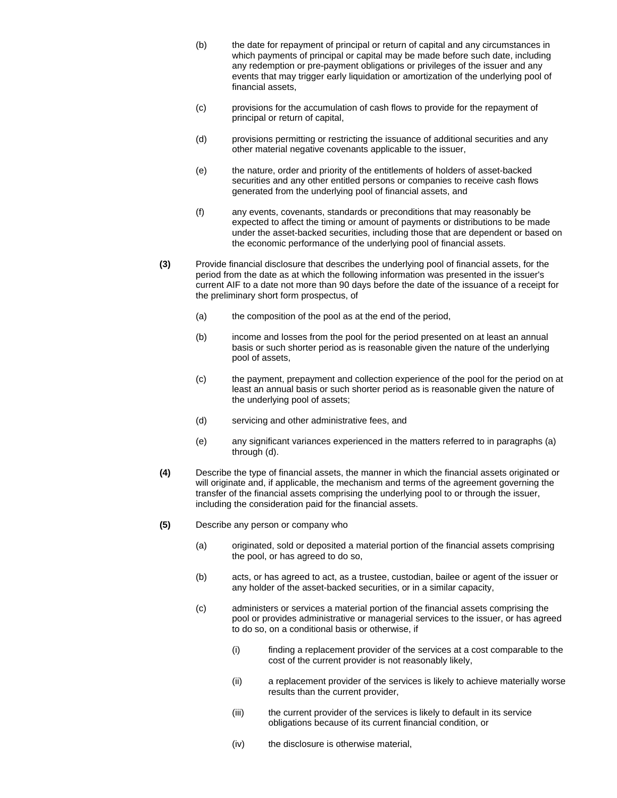- (b) the date for repayment of principal or return of capital and any circumstances in which payments of principal or capital may be made before such date, including any redemption or pre-payment obligations or privileges of the issuer and any events that may trigger early liquidation or amortization of the underlying pool of financial assets,
- (c) provisions for the accumulation of cash flows to provide for the repayment of principal or return of capital,
- (d) provisions permitting or restricting the issuance of additional securities and any other material negative covenants applicable to the issuer,
- (e) the nature, order and priority of the entitlements of holders of asset-backed securities and any other entitled persons or companies to receive cash flows generated from the underlying pool of financial assets, and
- (f) any events, covenants, standards or preconditions that may reasonably be expected to affect the timing or amount of payments or distributions to be made under the asset-backed securities, including those that are dependent or based on the economic performance of the underlying pool of financial assets.
- **(3)** Provide financial disclosure that describes the underlying pool of financial assets, for the period from the date as at which the following information was presented in the issuer's current AIF to a date not more than 90 days before the date of the issuance of a receipt for the preliminary short form prospectus, of
	- (a) the composition of the pool as at the end of the period,
	- (b) income and losses from the pool for the period presented on at least an annual basis or such shorter period as is reasonable given the nature of the underlying pool of assets,
	- (c) the payment, prepayment and collection experience of the pool for the period on at least an annual basis or such shorter period as is reasonable given the nature of the underlying pool of assets;
	- (d) servicing and other administrative fees, and
	- (e) any significant variances experienced in the matters referred to in paragraphs (a) through (d).
- **(4)** Describe the type of financial assets, the manner in which the financial assets originated or will originate and, if applicable, the mechanism and terms of the agreement governing the transfer of the financial assets comprising the underlying pool to or through the issuer, including the consideration paid for the financial assets.
- **(5)** Describe any person or company who
	- (a) originated, sold or deposited a material portion of the financial assets comprising the pool, or has agreed to do so,
	- (b) acts, or has agreed to act, as a trustee, custodian, bailee or agent of the issuer or any holder of the asset-backed securities, or in a similar capacity,
	- (c) administers or services a material portion of the financial assets comprising the pool or provides administrative or managerial services to the issuer, or has agreed to do so, on a conditional basis or otherwise, if
		- (i) finding a replacement provider of the services at a cost comparable to the cost of the current provider is not reasonably likely,
		- (ii) a replacement provider of the services is likely to achieve materially worse results than the current provider,
		- (iii) the current provider of the services is likely to default in its service obligations because of its current financial condition, or
		- (iv) the disclosure is otherwise material,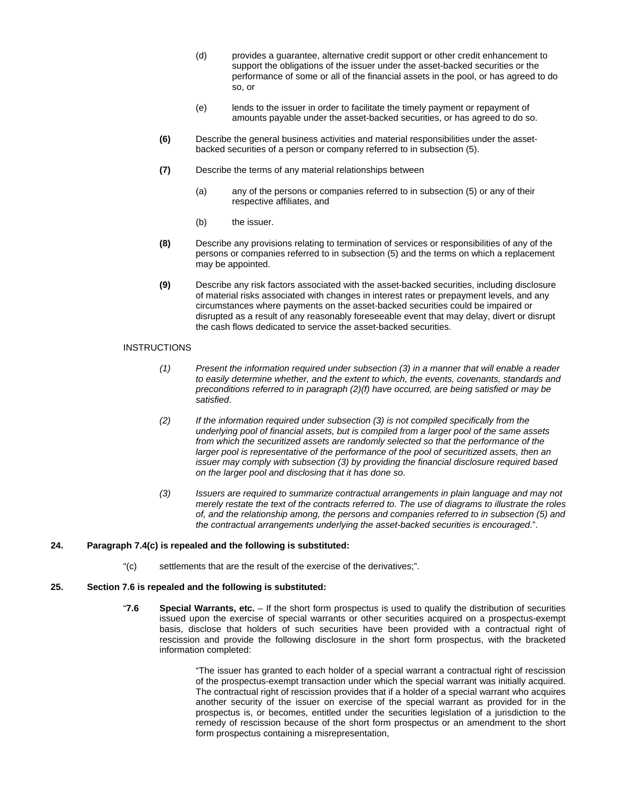- (d) provides a guarantee, alternative credit support or other credit enhancement to support the obligations of the issuer under the asset-backed securities or the performance of some or all of the financial assets in the pool, or has agreed to do so, or
- (e) lends to the issuer in order to facilitate the timely payment or repayment of amounts payable under the asset-backed securities, or has agreed to do so.
- **(6)** Describe the general business activities and material responsibilities under the assetbacked securities of a person or company referred to in subsection (5).
- **(7)** Describe the terms of any material relationships between
	- (a) any of the persons or companies referred to in subsection (5) or any of their respective affiliates, and
	- (b) the issuer.
- **(8)** Describe any provisions relating to termination of services or responsibilities of any of the persons or companies referred to in subsection (5) and the terms on which a replacement may be appointed.
- **(9)** Describe any risk factors associated with the asset-backed securities, including disclosure of material risks associated with changes in interest rates or prepayment levels, and any circumstances where payments on the asset-backed securities could be impaired or disrupted as a result of any reasonably foreseeable event that may delay, divert or disrupt the cash flows dedicated to service the asset-backed securities.

## INSTRUCTIONS

- *(1) Present the information required under subsection (3) in a manner that will enable a reader to easily determine whether, and the extent to which, the events, covenants, standards and preconditions referred to in paragraph (2)(f) have occurred, are being satisfied or may be satisfied*.
- *(2) If the information required under subsection (3) is not compiled specifically from the underlying pool of financial assets, but is compiled from a larger pool of the same assets from which the securitized assets are randomly selected so that the performance of the larger pool is representative of the performance of the pool of securitized assets, then an issuer may comply with subsection (3) by providing the financial disclosure required based on the larger pool and disclosing that it has done so*.
- *(3) Issuers are required to summarize contractual arrangements in plain language and may not merely restate the text of the contracts referred to. The use of diagrams to illustrate the roles of, and the relationship among, the persons and companies referred to in subsection (5) and the contractual arrangements underlying the asset-backed securities is encouraged*.".

#### **24. Paragraph 7.4(c) is repealed and the following is substituted:**

"(c) settlements that are the result of the exercise of the derivatives;".

## **25. Section 7.6 is repealed and the following is substituted:**

"**7.6 Special Warrants, etc.** – If the short form prospectus is used to qualify the distribution of securities issued upon the exercise of special warrants or other securities acquired on a prospectus-exempt basis, disclose that holders of such securities have been provided with a contractual right of rescission and provide the following disclosure in the short form prospectus, with the bracketed information completed:

> "The issuer has granted to each holder of a special warrant a contractual right of rescission of the prospectus-exempt transaction under which the special warrant was initially acquired. The contractual right of rescission provides that if a holder of a special warrant who acquires another security of the issuer on exercise of the special warrant as provided for in the prospectus is, or becomes, entitled under the securities legislation of a jurisdiction to the remedy of rescission because of the short form prospectus or an amendment to the short form prospectus containing a misrepresentation,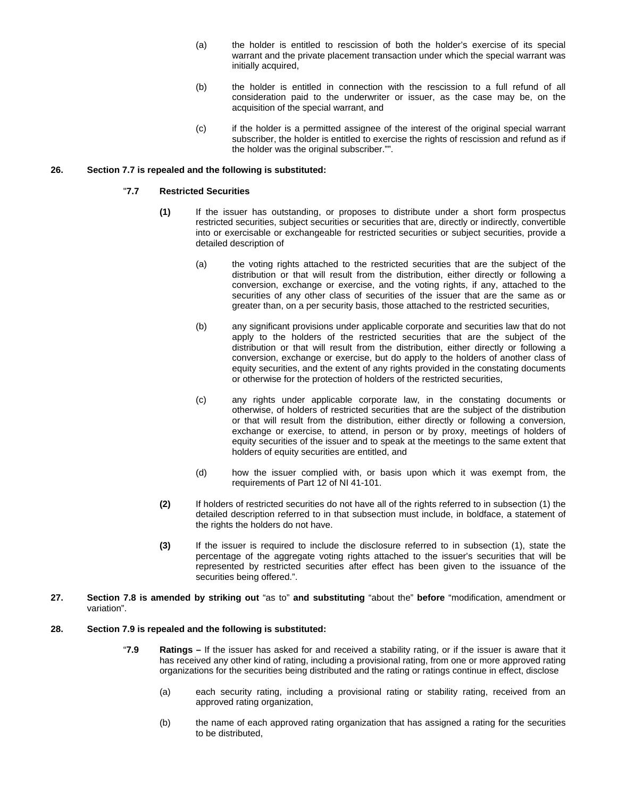- (a) the holder is entitled to rescission of both the holder's exercise of its special warrant and the private placement transaction under which the special warrant was initially acquired,
- (b) the holder is entitled in connection with the rescission to a full refund of all consideration paid to the underwriter or issuer, as the case may be, on the acquisition of the special warrant, and
- (c) if the holder is a permitted assignee of the interest of the original special warrant subscriber, the holder is entitled to exercise the rights of rescission and refund as if the holder was the original subscriber."".

## **26. Section 7.7 is repealed and the following is substituted:**

# "**7.7 Restricted Securities**

- **(1)** If the issuer has outstanding, or proposes to distribute under a short form prospectus restricted securities, subject securities or securities that are, directly or indirectly, convertible into or exercisable or exchangeable for restricted securities or subject securities, provide a detailed description of
	- (a) the voting rights attached to the restricted securities that are the subject of the distribution or that will result from the distribution, either directly or following a conversion, exchange or exercise, and the voting rights, if any, attached to the securities of any other class of securities of the issuer that are the same as or greater than, on a per security basis, those attached to the restricted securities,
	- (b) any significant provisions under applicable corporate and securities law that do not apply to the holders of the restricted securities that are the subject of the distribution or that will result from the distribution, either directly or following a conversion, exchange or exercise, but do apply to the holders of another class of equity securities, and the extent of any rights provided in the constating documents or otherwise for the protection of holders of the restricted securities,
	- (c) any rights under applicable corporate law, in the constating documents or otherwise, of holders of restricted securities that are the subject of the distribution or that will result from the distribution, either directly or following a conversion, exchange or exercise, to attend, in person or by proxy, meetings of holders of equity securities of the issuer and to speak at the meetings to the same extent that holders of equity securities are entitled, and
	- (d) how the issuer complied with, or basis upon which it was exempt from, the requirements of Part 12 of NI 41-101.
- **(2)** If holders of restricted securities do not have all of the rights referred to in subsection (1) the detailed description referred to in that subsection must include, in boldface, a statement of the rights the holders do not have.
- **(3)** If the issuer is required to include the disclosure referred to in subsection (1), state the percentage of the aggregate voting rights attached to the issuer's securities that will be represented by restricted securities after effect has been given to the issuance of the securities being offered.".
- **27. Section 7.8 is amended by striking out** "as to" **and substituting** "about the" **before** "modification, amendment or variation".

#### **28. Section 7.9 is repealed and the following is substituted:**

- "**7.9 Ratings** If the issuer has asked for and received a stability rating, or if the issuer is aware that it has received any other kind of rating, including a provisional rating, from one or more approved rating organizations for the securities being distributed and the rating or ratings continue in effect, disclose
	- (a) each security rating, including a provisional rating or stability rating, received from an approved rating organization,
	- (b) the name of each approved rating organization that has assigned a rating for the securities to be distributed,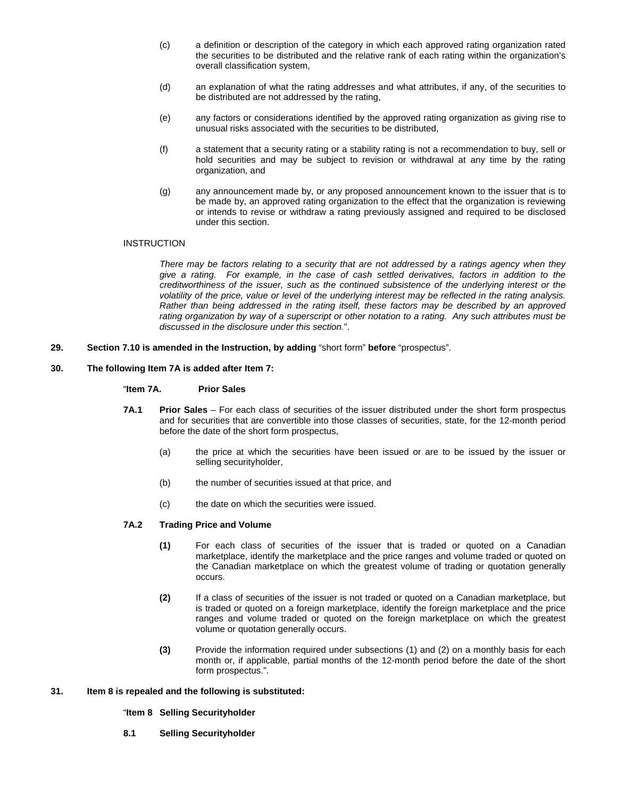- (c) a definition or description of the category in which each approved rating organization rated the securities to be distributed and the relative rank of each rating within the organization's overall classification system,
- (d) an explanation of what the rating addresses and what attributes, if any, of the securities to be distributed are not addressed by the rating,
- (e) any factors or considerations identified by the approved rating organization as giving rise to unusual risks associated with the securities to be distributed,
- (f) a statement that a security rating or a stability rating is not a recommendation to buy, sell or hold securities and may be subject to revision or withdrawal at any time by the rating organization, and
- (g) any announcement made by, or any proposed announcement known to the issuer that is to be made by, an approved rating organization to the effect that the organization is reviewing or intends to revise or withdraw a rating previously assigned and required to be disclosed under this section.

### **INSTRUCTION**

*There may be factors relating to a security that are not addressed by a ratings agency when they give a rating. For example, in the case of cash settled derivatives, factors in addition to the creditworthiness of the issuer, such as the continued subsistence of the underlying interest or the volatility of the price, value or level of the underlying interest may be reflected in the rating analysis. Rather than being addressed in the rating itself, these factors may be described by an approved rating organization by way of a superscript or other notation to a rating. Any such attributes must be discussed in the disclosure under this section.*".

**29. Section 7.10 is amended in the Instruction, by adding** "short form" **before** "prospectus".

#### **30. The following Item 7A is added after Item 7:**

# "**Item 7A. Prior Sales**

- **7A.1 Prior Sales** For each class of securities of the issuer distributed under the short form prospectus and for securities that are convertible into those classes of securities, state, for the 12-month period before the date of the short form prospectus,
	- (a) the price at which the securities have been issued or are to be issued by the issuer or selling securityholder,
	- (b) the number of securities issued at that price, and
	- (c) the date on which the securities were issued.

#### **7A.2 Trading Price and Volume**

- **(1)** For each class of securities of the issuer that is traded or quoted on a Canadian marketplace, identify the marketplace and the price ranges and volume traded or quoted on the Canadian marketplace on which the greatest volume of trading or quotation generally occurs.
- **(2)** If a class of securities of the issuer is not traded or quoted on a Canadian marketplace, but is traded or quoted on a foreign marketplace, identify the foreign marketplace and the price ranges and volume traded or quoted on the foreign marketplace on which the greatest volume or quotation generally occurs.
- **(3)** Provide the information required under subsections (1) and (2) on a monthly basis for each month or, if applicable, partial months of the 12-month period before the date of the short form prospectus.".

#### **31. Item 8 is repealed and the following is substituted:**

## "**Item 8 Selling Securityholder**

**8.1 Selling Securityholder**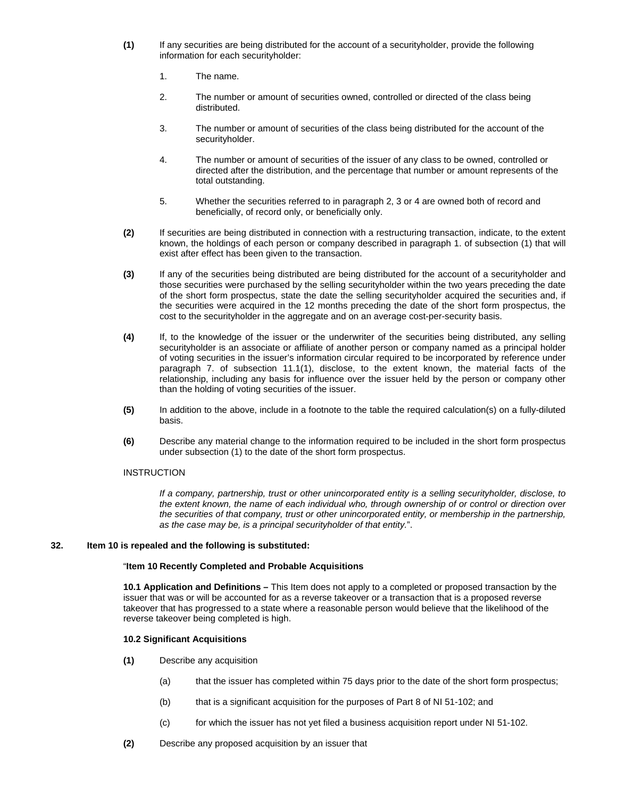- **(1)** If any securities are being distributed for the account of a securityholder, provide the following information for each securityholder:
	- 1. The name.
	- 2. The number or amount of securities owned, controlled or directed of the class being distributed.
	- 3. The number or amount of securities of the class being distributed for the account of the securityholder.
	- 4. The number or amount of securities of the issuer of any class to be owned, controlled or directed after the distribution, and the percentage that number or amount represents of the total outstanding.
	- 5. Whether the securities referred to in paragraph 2, 3 or 4 are owned both of record and beneficially, of record only, or beneficially only.
- **(2)** If securities are being distributed in connection with a restructuring transaction, indicate, to the extent known, the holdings of each person or company described in paragraph 1. of subsection (1) that will exist after effect has been given to the transaction.
- **(3)** If any of the securities being distributed are being distributed for the account of a securityholder and those securities were purchased by the selling securityholder within the two years preceding the date of the short form prospectus, state the date the selling securityholder acquired the securities and, if the securities were acquired in the 12 months preceding the date of the short form prospectus, the cost to the securityholder in the aggregate and on an average cost-per-security basis.
- **(4)** If, to the knowledge of the issuer or the underwriter of the securities being distributed, any selling securityholder is an associate or affiliate of another person or company named as a principal holder of voting securities in the issuer's information circular required to be incorporated by reference under paragraph 7. of subsection 11.1(1), disclose, to the extent known, the material facts of the relationship, including any basis for influence over the issuer held by the person or company other than the holding of voting securities of the issuer.
- **(5)** In addition to the above, include in a footnote to the table the required calculation(s) on a fully-diluted basis.
- **(6)** Describe any material change to the information required to be included in the short form prospectus under subsection (1) to the date of the short form prospectus.

# **INSTRUCTION**

*If a company, partnership, trust or other unincorporated entity is a selling securityholder, disclose, to the extent known, the name of each individual who, through ownership of or control or direction over the securities of that company, trust or other unincorporated entity, or membership in the partnership, as the case may be, is a principal securityholder of that entity.*".

## **32. Item 10 is repealed and the following is substituted:**

#### "**Item 10 Recently Completed and Probable Acquisitions**

**10.1 Application and Definitions –** This Item does not apply to a completed or proposed transaction by the issuer that was or will be accounted for as a reverse takeover or a transaction that is a proposed reverse takeover that has progressed to a state where a reasonable person would believe that the likelihood of the reverse takeover being completed is high.

## **10.2 Significant Acquisitions**

- **(1)** Describe any acquisition
	- (a) that the issuer has completed within 75 days prior to the date of the short form prospectus;
	- (b) that is a significant acquisition for the purposes of Part 8 of NI 51-102; and
	- (c) for which the issuer has not yet filed a business acquisition report under NI 51-102.
- **(2)** Describe any proposed acquisition by an issuer that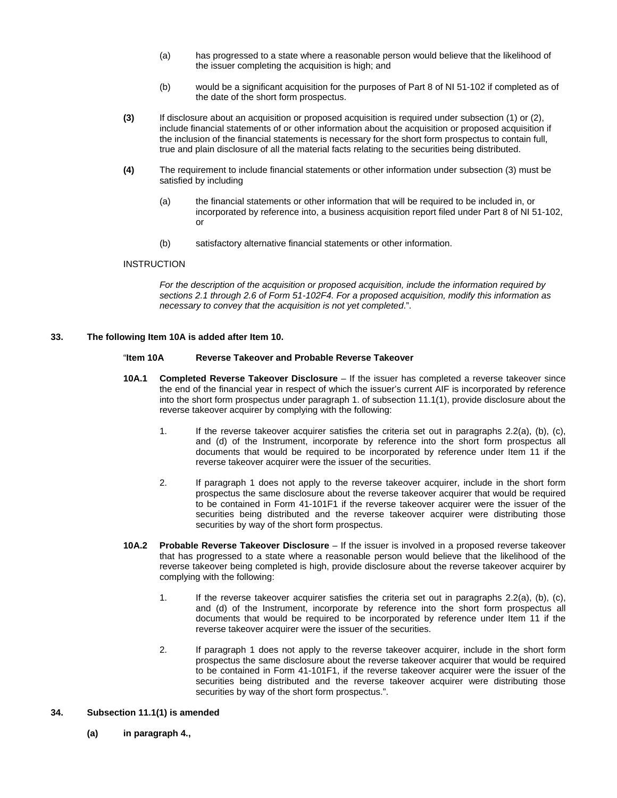- (a) has progressed to a state where a reasonable person would believe that the likelihood of the issuer completing the acquisition is high; and
- (b) would be a significant acquisition for the purposes of Part 8 of NI 51-102 if completed as of the date of the short form prospectus.
- **(3)** If disclosure about an acquisition or proposed acquisition is required under subsection (1) or (2), include financial statements of or other information about the acquisition or proposed acquisition if the inclusion of the financial statements is necessary for the short form prospectus to contain full, true and plain disclosure of all the material facts relating to the securities being distributed.
- **(4)** The requirement to include financial statements or other information under subsection (3) must be satisfied by including
	- (a) the financial statements or other information that will be required to be included in, or incorporated by reference into, a business acquisition report filed under Part 8 of NI 51-102, or
	- (b) satisfactory alternative financial statements or other information.

#### **INSTRUCTION**

*For the description of the acquisition or proposed acquisition, include the information required by sections 2.1 through 2.6 of Form 51-102F4. For a proposed acquisition, modify this information as necessary to convey that the acquisition is not yet completed*.".

#### **33. The following Item 10A is added after Item 10.**

#### "**Item 10A Reverse Takeover and Probable Reverse Takeover**

- **10A.1 Completed Reverse Takeover Disclosure** If the issuer has completed a reverse takeover since the end of the financial year in respect of which the issuer's current AIF is incorporated by reference into the short form prospectus under paragraph 1. of subsection 11.1(1), provide disclosure about the reverse takeover acquirer by complying with the following:
	- 1. If the reverse takeover acquirer satisfies the criteria set out in paragraphs 2.2(a), (b), (c), and (d) of the Instrument, incorporate by reference into the short form prospectus all documents that would be required to be incorporated by reference under Item 11 if the reverse takeover acquirer were the issuer of the securities.
	- 2. If paragraph 1 does not apply to the reverse takeover acquirer, include in the short form prospectus the same disclosure about the reverse takeover acquirer that would be required to be contained in Form 41-101F1 if the reverse takeover acquirer were the issuer of the securities being distributed and the reverse takeover acquirer were distributing those securities by way of the short form prospectus.
- **10A.2 Probable Reverse Takeover Disclosure** If the issuer is involved in a proposed reverse takeover that has progressed to a state where a reasonable person would believe that the likelihood of the reverse takeover being completed is high, provide disclosure about the reverse takeover acquirer by complying with the following:
	- 1. If the reverse takeover acquirer satisfies the criteria set out in paragraphs 2.2(a), (b), (c), and (d) of the Instrument, incorporate by reference into the short form prospectus all documents that would be required to be incorporated by reference under Item 11 if the reverse takeover acquirer were the issuer of the securities.
	- 2. If paragraph 1 does not apply to the reverse takeover acquirer, include in the short form prospectus the same disclosure about the reverse takeover acquirer that would be required to be contained in Form 41-101F1, if the reverse takeover acquirer were the issuer of the securities being distributed and the reverse takeover acquirer were distributing those securities by way of the short form prospectus.".

#### **34. Subsection 11.1(1) is amended**

**(a) in paragraph 4.,**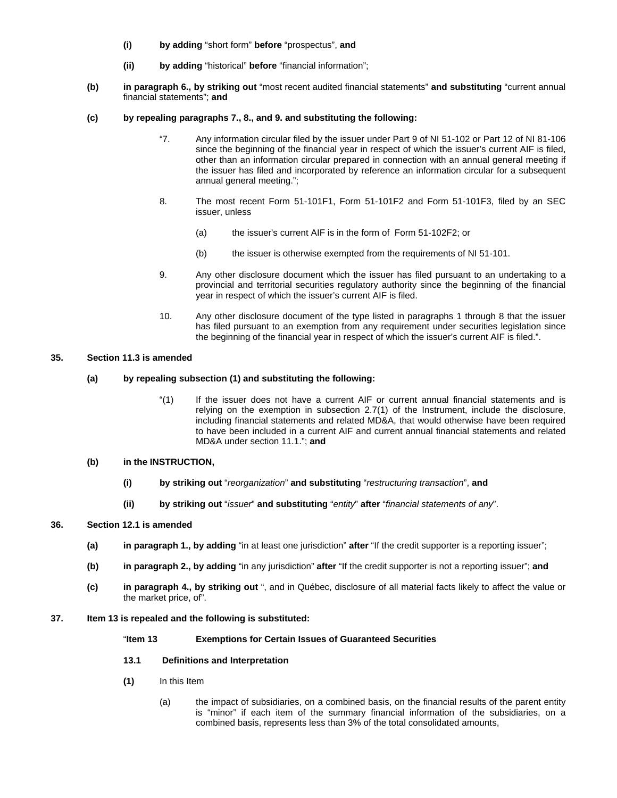- **(i) by adding** "short form" **before** "prospectus", **and**
- **(ii) by adding** "historical" **before** "financial information";
- **(b) in paragraph 6., by striking out** "most recent audited financial statements" **and substituting** "current annual financial statements"; **and**
- **(c) by repealing paragraphs 7., 8., and 9. and substituting the following:** 
	- "7. Any information circular filed by the issuer under Part 9 of NI 51-102 or Part 12 of NI 81-106 since the beginning of the financial year in respect of which the issuer's current AIF is filed, other than an information circular prepared in connection with an annual general meeting if the issuer has filed and incorporated by reference an information circular for a subsequent annual general meeting.";
	- 8. The most recent Form 51-101F1, Form 51-101F2 and Form 51-101F3, filed by an SEC issuer, unless
		- (a) the issuer's current AIF is in the form of Form 51-102F2; or
		- (b) the issuer is otherwise exempted from the requirements of NI 51-101.
	- 9. Any other disclosure document which the issuer has filed pursuant to an undertaking to a provincial and territorial securities regulatory authority since the beginning of the financial year in respect of which the issuer's current AIF is filed.
	- 10. Any other disclosure document of the type listed in paragraphs 1 through 8 that the issuer has filed pursuant to an exemption from any requirement under securities legislation since the beginning of the financial year in respect of which the issuer's current AIF is filed.".

# **35. Section 11.3 is amended**

# **(a) by repealing subsection (1) and substituting the following:**

"(1) If the issuer does not have a current AIF or current annual financial statements and is relying on the exemption in subsection 2.7(1) of the Instrument, include the disclosure, including financial statements and related MD&A, that would otherwise have been required to have been included in a current AIF and current annual financial statements and related MD&A under section 11.1."; **and** 

## **(b) in the INSTRUCTION,**

- **(i) by striking out** "*reorganization*" **and substituting** "*restructuring transaction*", **and**
- **(ii) by striking out** "*issuer*" **and substituting** "*entity*" **after** "*financial statements of any*".

## **36. Section 12.1 is amended**

- **(a) in paragraph 1., by adding** "in at least one jurisdiction" **after** "If the credit supporter is a reporting issuer";
- **(b) in paragraph 2., by adding** "in any jurisdiction" **after** "If the credit supporter is not a reporting issuer"; **and**
- **(c) in paragraph 4., by striking out** ", and in Québec, disclosure of all material facts likely to affect the value or the market price, of".

## **37. Item 13 is repealed and the following is substituted:**

## "**Item 13 Exemptions for Certain Issues of Guaranteed Securities**

- **13.1 Definitions and Interpretation**
- **(1)** In this Item
	- (a) the impact of subsidiaries, on a combined basis, on the financial results of the parent entity is "minor" if each item of the summary financial information of the subsidiaries, on a combined basis, represents less than 3% of the total consolidated amounts,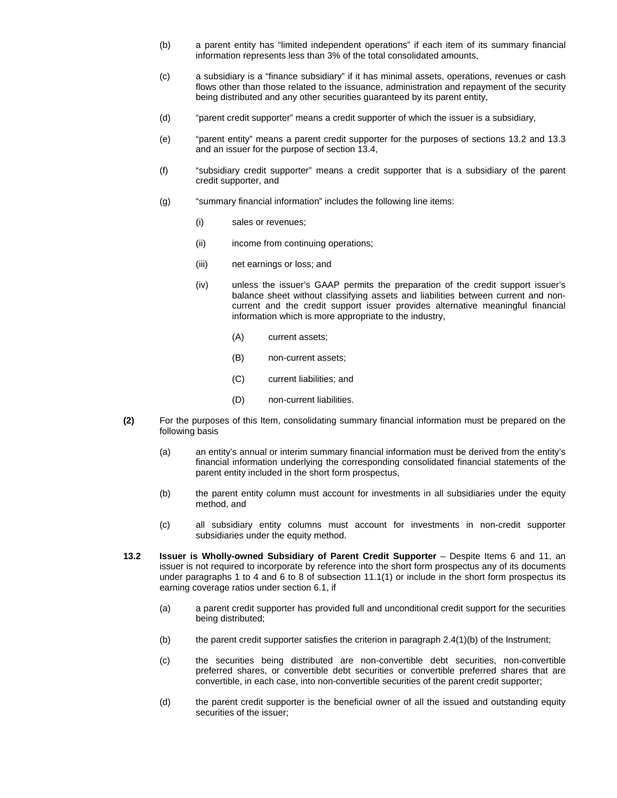- (b) a parent entity has "limited independent operations" if each item of its summary financial information represents less than 3% of the total consolidated amounts,
- (c) a subsidiary is a "finance subsidiary" if it has minimal assets, operations, revenues or cash flows other than those related to the issuance, administration and repayment of the security being distributed and any other securities guaranteed by its parent entity,
- (d) "parent credit supporter" means a credit supporter of which the issuer is a subsidiary,
- (e) "parent entity" means a parent credit supporter for the purposes of sections 13.2 and 13.3 and an issuer for the purpose of section 13.4,
- (f) "subsidiary credit supporter" means a credit supporter that is a subsidiary of the parent credit supporter, and
- (g) "summary financial information" includes the following line items:
	- (i) sales or revenues;
	- (ii) income from continuing operations;
	- (iii) net earnings or loss; and
	- (iv) unless the issuer's GAAP permits the preparation of the credit support issuer's balance sheet without classifying assets and liabilities between current and noncurrent and the credit support issuer provides alternative meaningful financial information which is more appropriate to the industry,
		- (A) current assets;
		- (B) non-current assets;
		- (C) current liabilities; and
		- (D) non-current liabilities.
- **(2)** For the purposes of this Item, consolidating summary financial information must be prepared on the following basis
	- (a) an entity's annual or interim summary financial information must be derived from the entity's financial information underlying the corresponding consolidated financial statements of the parent entity included in the short form prospectus,
	- (b) the parent entity column must account for investments in all subsidiaries under the equity method, and
	- (c) all subsidiary entity columns must account for investments in non-credit supporter subsidiaries under the equity method.
- **13.2 Issuer is Wholly-owned Subsidiary of Parent Credit Supporter** Despite Items 6 and 11, an issuer is not required to incorporate by reference into the short form prospectus any of its documents under paragraphs 1 to 4 and 6 to 8 of subsection 11.1(1) or include in the short form prospectus its earning coverage ratios under section 6.1, if
	- (a) a parent credit supporter has provided full and unconditional credit support for the securities being distributed;
	- (b) the parent credit supporter satisfies the criterion in paragraph  $2.4(1)(b)$  of the Instrument;
	- (c) the securities being distributed are non-convertible debt securities, non-convertible preferred shares, or convertible debt securities or convertible preferred shares that are convertible, in each case, into non-convertible securities of the parent credit supporter;
	- (d) the parent credit supporter is the beneficial owner of all the issued and outstanding equity securities of the issuer;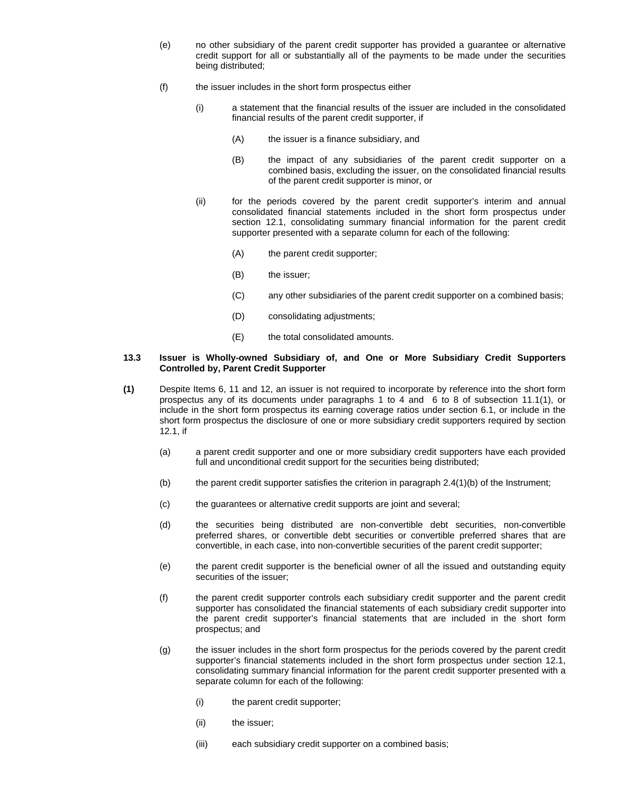- (e) no other subsidiary of the parent credit supporter has provided a guarantee or alternative credit support for all or substantially all of the payments to be made under the securities being distributed;
- (f) the issuer includes in the short form prospectus either
	- (i) a statement that the financial results of the issuer are included in the consolidated financial results of the parent credit supporter, if
		- (A) the issuer is a finance subsidiary, and
		- (B) the impact of any subsidiaries of the parent credit supporter on a combined basis, excluding the issuer, on the consolidated financial results of the parent credit supporter is minor, or
	- (ii) for the periods covered by the parent credit supporter's interim and annual consolidated financial statements included in the short form prospectus under section 12.1, consolidating summary financial information for the parent credit supporter presented with a separate column for each of the following:
		- (A) the parent credit supporter;
		- (B) the issuer;
		- (C) any other subsidiaries of the parent credit supporter on a combined basis;
		- (D) consolidating adjustments;
		- (E) the total consolidated amounts.

#### **13.3 Issuer is Wholly-owned Subsidiary of, and One or More Subsidiary Credit Supporters Controlled by, Parent Credit Supporter**

- **(1)** Despite Items 6, 11 and 12, an issuer is not required to incorporate by reference into the short form prospectus any of its documents under paragraphs 1 to 4 and 6 to 8 of subsection 11.1(1), or include in the short form prospectus its earning coverage ratios under section 6.1, or include in the short form prospectus the disclosure of one or more subsidiary credit supporters required by section 12.1, if
	- (a) a parent credit supporter and one or more subsidiary credit supporters have each provided full and unconditional credit support for the securities being distributed;
	- (b) the parent credit supporter satisfies the criterion in paragraph 2.4(1)(b) of the Instrument;
	- (c) the guarantees or alternative credit supports are joint and several;
	- (d) the securities being distributed are non-convertible debt securities, non-convertible preferred shares, or convertible debt securities or convertible preferred shares that are convertible, in each case, into non-convertible securities of the parent credit supporter;
	- (e) the parent credit supporter is the beneficial owner of all the issued and outstanding equity securities of the issuer;
	- (f) the parent credit supporter controls each subsidiary credit supporter and the parent credit supporter has consolidated the financial statements of each subsidiary credit supporter into the parent credit supporter's financial statements that are included in the short form prospectus; and
	- (g) the issuer includes in the short form prospectus for the periods covered by the parent credit supporter's financial statements included in the short form prospectus under section 12.1, consolidating summary financial information for the parent credit supporter presented with a separate column for each of the following:
		- (i) the parent credit supporter;
		- (ii) the issuer;
		- (iii) each subsidiary credit supporter on a combined basis;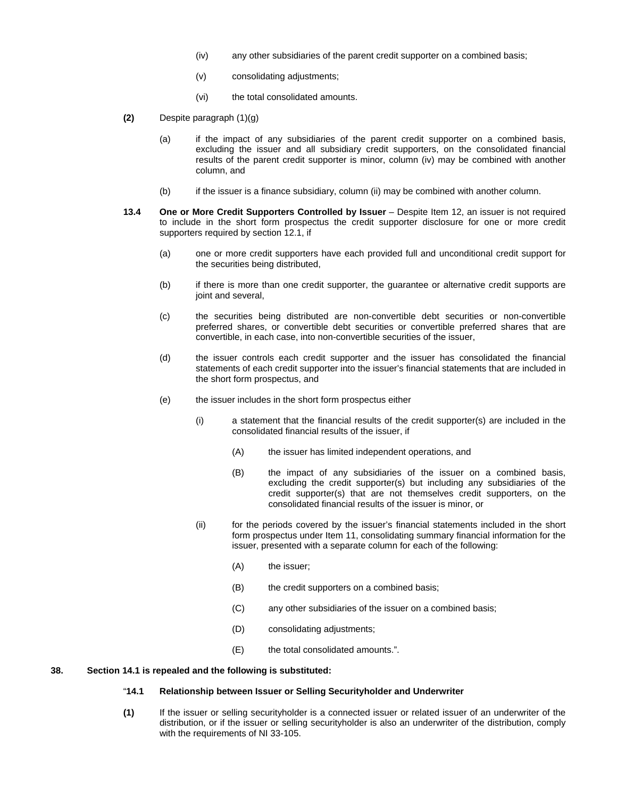- (iv) any other subsidiaries of the parent credit supporter on a combined basis;
- (v) consolidating adjustments;
- (vi) the total consolidated amounts.
- **(2)** Despite paragraph (1)(g)
	- (a) if the impact of any subsidiaries of the parent credit supporter on a combined basis, excluding the issuer and all subsidiary credit supporters, on the consolidated financial results of the parent credit supporter is minor, column (iv) may be combined with another column, and
	- (b) if the issuer is a finance subsidiary, column (ii) may be combined with another column.
- **13.4 One or More Credit Supporters Controlled by Issuer** Despite Item 12, an issuer is not required to include in the short form prospectus the credit supporter disclosure for one or more credit supporters required by section 12.1, if
	- (a) one or more credit supporters have each provided full and unconditional credit support for the securities being distributed,
	- (b) if there is more than one credit supporter, the guarantee or alternative credit supports are joint and several,
	- (c) the securities being distributed are non-convertible debt securities or non-convertible preferred shares, or convertible debt securities or convertible preferred shares that are convertible, in each case, into non-convertible securities of the issuer,
	- (d) the issuer controls each credit supporter and the issuer has consolidated the financial statements of each credit supporter into the issuer's financial statements that are included in the short form prospectus, and
	- (e) the issuer includes in the short form prospectus either
		- (i) a statement that the financial results of the credit supporter(s) are included in the consolidated financial results of the issuer, if
			- (A) the issuer has limited independent operations, and
			- (B) the impact of any subsidiaries of the issuer on a combined basis, excluding the credit supporter(s) but including any subsidiaries of the credit supporter(s) that are not themselves credit supporters, on the consolidated financial results of the issuer is minor, or
		- (ii) for the periods covered by the issuer's financial statements included in the short form prospectus under Item 11, consolidating summary financial information for the issuer, presented with a separate column for each of the following:
			- (A) the issuer;
			- (B) the credit supporters on a combined basis;
			- (C) any other subsidiaries of the issuer on a combined basis;
			- (D) consolidating adjustments;
			- (E) the total consolidated amounts.".

#### **38. Section 14.1 is repealed and the following is substituted:**

# "**14.1 Relationship between Issuer or Selling Securityholder and Underwriter**

**(1)** If the issuer or selling securityholder is a connected issuer or related issuer of an underwriter of the distribution, or if the issuer or selling securityholder is also an underwriter of the distribution, comply with the requirements of NI 33-105.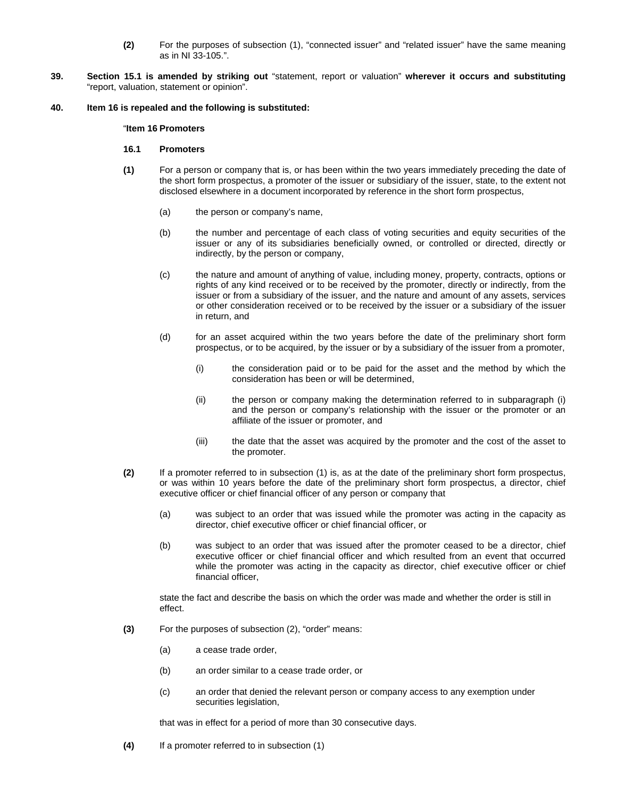- **(2)** For the purposes of subsection (1), "connected issuer" and "related issuer" have the same meaning as in NI 33-105.".
- **39. Section 15.1 is amended by striking out** "statement, report or valuation" **wherever it occurs and substituting**  "report, valuation, statement or opinion".

#### **40. Item 16 is repealed and the following is substituted:**

#### "**Item 16 Promoters**

#### **16.1 Promoters**

- **(1)** For a person or company that is, or has been within the two years immediately preceding the date of the short form prospectus, a promoter of the issuer or subsidiary of the issuer, state, to the extent not disclosed elsewhere in a document incorporated by reference in the short form prospectus,
	- (a) the person or company's name,
	- (b) the number and percentage of each class of voting securities and equity securities of the issuer or any of its subsidiaries beneficially owned, or controlled or directed, directly or indirectly, by the person or company,
	- (c) the nature and amount of anything of value, including money, property, contracts, options or rights of any kind received or to be received by the promoter, directly or indirectly, from the issuer or from a subsidiary of the issuer, and the nature and amount of any assets, services or other consideration received or to be received by the issuer or a subsidiary of the issuer in return, and
	- (d) for an asset acquired within the two years before the date of the preliminary short form prospectus, or to be acquired, by the issuer or by a subsidiary of the issuer from a promoter,
		- (i) the consideration paid or to be paid for the asset and the method by which the consideration has been or will be determined,
		- (ii) the person or company making the determination referred to in subparagraph (i) and the person or company's relationship with the issuer or the promoter or an affiliate of the issuer or promoter, and
		- (iii) the date that the asset was acquired by the promoter and the cost of the asset to the promoter.
- **(2)** If a promoter referred to in subsection (1) is, as at the date of the preliminary short form prospectus, or was within 10 years before the date of the preliminary short form prospectus, a director, chief executive officer or chief financial officer of any person or company that
	- (a) was subject to an order that was issued while the promoter was acting in the capacity as director, chief executive officer or chief financial officer, or
	- (b) was subject to an order that was issued after the promoter ceased to be a director, chief executive officer or chief financial officer and which resulted from an event that occurred while the promoter was acting in the capacity as director, chief executive officer or chief financial officer,

state the fact and describe the basis on which the order was made and whether the order is still in effect.

- **(3)** For the purposes of subsection (2), "order" means:
	- (a) a cease trade order,
	- (b) an order similar to a cease trade order, or
	- (c) an order that denied the relevant person or company access to any exemption under securities legislation,

that was in effect for a period of more than 30 consecutive days.

**(4)** If a promoter referred to in subsection (1)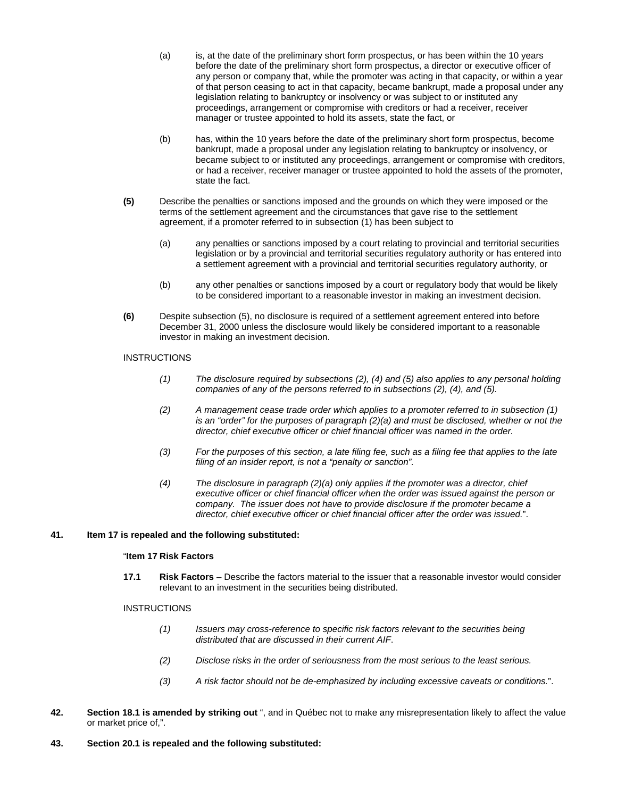- (a) is, at the date of the preliminary short form prospectus, or has been within the 10 years before the date of the preliminary short form prospectus, a director or executive officer of any person or company that, while the promoter was acting in that capacity, or within a year of that person ceasing to act in that capacity, became bankrupt, made a proposal under any legislation relating to bankruptcy or insolvency or was subject to or instituted any proceedings, arrangement or compromise with creditors or had a receiver, receiver manager or trustee appointed to hold its assets, state the fact, or
- (b) has, within the 10 years before the date of the preliminary short form prospectus, become bankrupt, made a proposal under any legislation relating to bankruptcy or insolvency, or became subject to or instituted any proceedings, arrangement or compromise with creditors, or had a receiver, receiver manager or trustee appointed to hold the assets of the promoter, state the fact.
- **(5)** Describe the penalties or sanctions imposed and the grounds on which they were imposed or the terms of the settlement agreement and the circumstances that gave rise to the settlement agreement, if a promoter referred to in subsection (1) has been subject to
	- (a) any penalties or sanctions imposed by a court relating to provincial and territorial securities legislation or by a provincial and territorial securities regulatory authority or has entered into a settlement agreement with a provincial and territorial securities regulatory authority, or
	- (b) any other penalties or sanctions imposed by a court or regulatory body that would be likely to be considered important to a reasonable investor in making an investment decision.
- **(6)** Despite subsection (5), no disclosure is required of a settlement agreement entered into before December 31, 2000 unless the disclosure would likely be considered important to a reasonable investor in making an investment decision.

# **INSTRUCTIONS**

- *(1) The disclosure required by subsections (2), (4) and (5) also applies to any personal holding companies of any of the persons referred to in subsections (2), (4), and (5).*
- *(2) A management cease trade order which applies to a promoter referred to in subsection (1) is an "order" for the purposes of paragraph (2)(a) and must be disclosed, whether or not the director, chief executive officer or chief financial officer was named in the order.*
- *(3) For the purposes of this section, a late filing fee, such as a filing fee that applies to the late filing of an insider report, is not a "penalty or sanction".*
- *(4) The disclosure in paragraph (2)(a) only applies if the promoter was a director, chief executive officer or chief financial officer when the order was issued against the person or company. The issuer does not have to provide disclosure if the promoter became a director, chief executive officer or chief financial officer after the order was issued.*".

## **41. Item 17 is repealed and the following substituted:**

## "**Item 17 Risk Factors**

**17.1 Risk Factors** – Describe the factors material to the issuer that a reasonable investor would consider relevant to an investment in the securities being distributed.

## **INSTRUCTIONS**

- *(1) Issuers may cross-reference to specific risk factors relevant to the securities being distributed that are discussed in their current AIF*.
- *(2) Disclose risks in the order of seriousness from the most serious to the least serious.*
- *(3) A risk factor should not be de-emphasized by including excessive caveats or conditions.*".
- **42. Section 18.1 is amended by striking out** ", and in Québec not to make any misrepresentation likely to affect the value or market price of,".
- **43. Section 20.1 is repealed and the following substituted:**